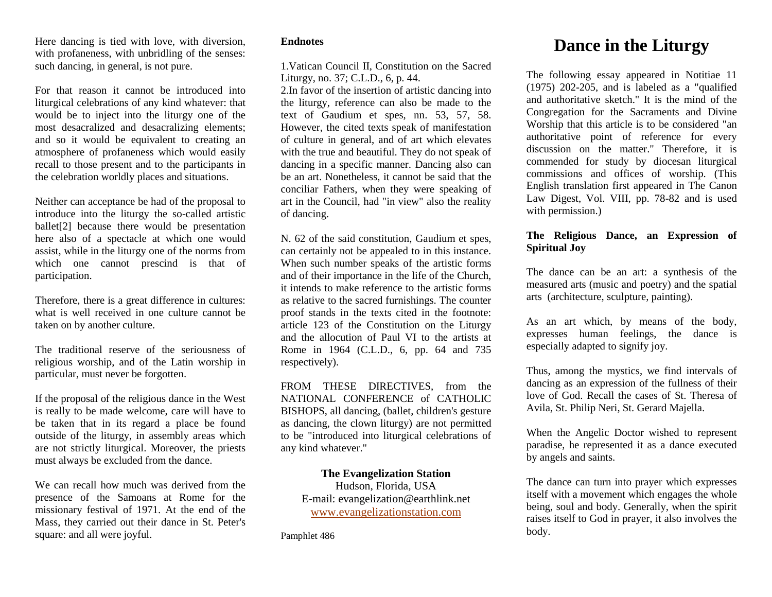Here dancing is tied with love, with diversion, with profaneness, with unbridling of the senses: such dancing, in general, is not pure.

For that reason it cannot be introduced into liturgical celebrations of any kind whatever: that would be to inject into the liturgy one of the most desacralized and desacralizing elements; and so it would be equivalent to creating an atmosphere of profaneness which would easily recall to those present and to the participants in the celebration worldly places and situations.

Neither can acceptance be had of the proposal to introduce into the liturgy the so-called artistic ballet[2] because there would be presentation here also of a spectacle at which one would assist, while in the liturgy one of the norms from which one cannot prescind is that of participation.

Therefore, there is a great difference in cultures: what is well received in one culture cannot be taken on by another culture.

The traditional reserve of the seriousness of religious worship, and of the Latin worship in particular, must never be forgotten.

If the proposal of the religious dance in the West is really to be made welcome, care will have to be taken that in its regard a place be found outside of the liturgy, in assembly areas which are not strictly liturgical. Moreover, the priests must always be excluded from the dance.

We can recall how much was derived from the presence of the Samoans at Rome for the missionary festival of 1971. At the end of the Mass, they carried out their dance in St. Peter's square: and all were joyful.

#### **Endnotes**

1.Vatican Council II, Constitution on the Sacred Liturgy, no. 37; C.L.D., 6, p. 44.

2.In favor of the insertion of artistic dancing into the liturgy, reference can also be made to the text of Gaudium et spes, nn. 53, 57, 58. However, the cited texts speak of manifestation of culture in general, and of art which elevates with the true and beautiful. They do not speak of dancing in a specific manner. Dancing also can be an art. Nonetheless, it cannot be said that the conciliar Fathers, when they were speaking of art in the Council, had "in view" also the reality of dancing.

N. 62 of the said constitution, Gaudium et spes, can certainly not be appealed to in this instance. When such number speaks of the artistic forms and of their importance in the life of the Church, it intends to make reference to the artistic forms as relative to the sacred furnishings. The counter proof stands in the texts cited in the footnote: article 123 of the Constitution on the Liturgy and the allocution of Paul VI to the artists at Rome in 1964 (C.L.D., 6, pp. 64 and 735 respectively).

FROM THESE DIRECTIVES, from the NATIONAL CONFERENCE of CATHOLIC BISHOPS, all dancing, (ballet, children's gesture as dancing, the clown liturgy) are not permitted to be "introduced into liturgical celebrations of any kind whatever."

**The Evangelization Station**

Hudson, Florida, USA E-mail: evangelization@earthlink.net [www.evangelizationstation.com](http://www.pjpiisoe.org/)

Pamphlet 486

# **Dance in the Liturgy**

The following essay appeared in Notitiae 11 (1975) 202-205, and is labeled as a "qualified and authoritative sketch." It is the mind of the Congregation for the Sacraments and Divine Worship that this article is to be considered "an authoritative point of reference for every discussion on the matter." Therefore, it is commended for study by diocesan liturgical commissions and offices of worship. (This English translation first appeared in The Canon Law Digest, Vol. VIII, pp. 78-82 and is used with permission.)

## **The Religious Dance, an Expression of Spiritual Joy**

The dance can be an art: a synthesis of the measured arts (music and poetry) and the spatial arts (architecture, sculpture, painting).

As an art which, by means of the body, expresses human feelings, the dance is especially adapted to signify joy.

Thus, among the mystics, we find intervals of dancing as an expression of the fullness of their love of God. Recall the cases of St. Theresa of Avila, St. Philip Neri, St. Gerard Majella.

When the Angelic Doctor wished to represent paradise, he represented it as a dance executed by angels and saints.

The dance can turn into prayer which expresses itself with a movement which engages the whole being, soul and body. Generally, when the spirit raises itself to God in prayer, it also involves the body.